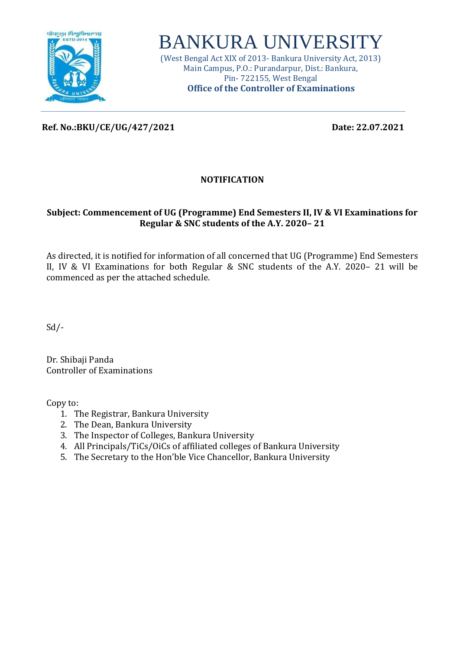

# BANKURA UNIVERSITY

(West Bengal Act XIX of 2013- Bankura University Act, 2013) Main Campus, P.O.: Purandarpur, Dist.: Bankura, Pin- 722155, West Bengal **Office of the Controller of Examinations**

**Ref. No.:BKU/CE/UG/427/2021 Date: 22.07.2021**

### **NOTIFICATION**

### **Subject: Commencement of UG (Programme) End Semesters II, IV & VI Examinations for Regular & SNC students of the A.Y. 2020– 21**

As directed, it is notified for information of all concerned that UG (Programme) End Semesters II, IV & VI Examinations for both Regular & SNC students of the A.Y. 2020– 21 will be commenced as per the attached schedule.

Sd/-

Dr. Shibaji Panda Controller of Examinations

Copy to:

- 1. The Registrar, Bankura University
- 2. The Dean, Bankura University
- 3. The Inspector of Colleges, Bankura University
- 4. All Principals/TiCs/OiCs of affiliated colleges of Bankura University
- 5. The Secretary to the Hon'ble Vice Chancellor, Bankura University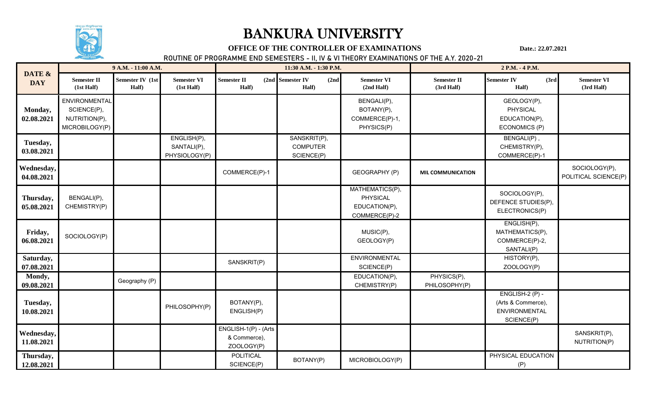

# BANKURA UNIVERSITY

## **OFFICE OF THE CONTROLLER OF EXAMINATIONS** Date.: 22.07.2021

**ROUTINE OF PROGRAMME END SEMESTERS - II, IV & VI THEORY EXAMINATIONS OF THE A.Y. 2020-21**

| DATE &<br><b>DAY</b>     | 9 A.M. - 11:00 A.M.                                             |                           |                                             | 11:30 A.M. - 1:30 P.M.                             |                                               |                                                               | 2 P.M. - 4 P.M.                  |                                                                         |                                       |
|--------------------------|-----------------------------------------------------------------|---------------------------|---------------------------------------------|----------------------------------------------------|-----------------------------------------------|---------------------------------------------------------------|----------------------------------|-------------------------------------------------------------------------|---------------------------------------|
|                          | <b>Semester II</b><br>(1st Half)                                | Semester IV (1st<br>Half) | <b>Semester VI</b><br>(1st Half)            | <b>Semester II</b><br>Half)                        | (2nd Semester IV<br>(2nd)<br>Half)            | <b>Semester VI</b><br>(2nd Half)                              | <b>Semester II</b><br>(3rd Half) | <b>Semester IV</b><br>(3rd)<br>Half)                                    | <b>Semester VI</b><br>(3rd Half)      |
| Monday,<br>02.08.2021    | ENVIRONMENTAL<br>SCIENCE(P),<br>NUTRITION(P),<br>MICROBILOGY(P) |                           |                                             |                                                    |                                               | BENGALI(P),<br>BOTANY(P),<br>COMMERCE(P)-1,<br>PHYSICS(P)     |                                  | GEOLOGY(P),<br><b>PHYSICAL</b><br>EDUCATION(P),<br><b>ECONOMICS (P)</b> |                                       |
| Tuesday,<br>03.08.2021   |                                                                 |                           | ENGLISH(P),<br>SANTALI(P),<br>PHYSIOLOGY(P) |                                                    | SANSKRIT(P),<br><b>COMPUTER</b><br>SCIENCE(P) |                                                               |                                  | BENGALI(P),<br>CHEMISTRY(P),<br>COMMERCE(P)-1                           |                                       |
| Wednesday,<br>04.08.2021 |                                                                 |                           |                                             | COMMERCE(P)-1                                      |                                               | GEOGRAPHY (P)                                                 | <b>MIL COMMUNICATION</b>         |                                                                         | SOCIOLOGY(P),<br>POLITICAL SCIENCE(P) |
| Thursday,<br>05.08.2021  | BENGALI(P),<br>CHEMISTRY(P)                                     |                           |                                             |                                                    |                                               | MATHEMATICS(P),<br>PHYSICAL<br>EDUCATION(P),<br>COMMERCE(P)-2 |                                  | SOCIOLOGY(P),<br>DEFENCE STUDIES(P),<br>ELECTRONICS(P)                  |                                       |
| Friday,<br>06.08.2021    | SOCIOLOGY(P)                                                    |                           |                                             |                                                    |                                               | MUSIC(P),<br>GEOLOGY(P)                                       |                                  | ENGLISH(P),<br>MATHEMATICS(P),<br>COMMERCE(P)-2,<br>SANTALI(P)          |                                       |
| Saturday,<br>07.08.2021  |                                                                 |                           |                                             | SANSKRIT(P)                                        |                                               | ENVIRONMENTAL<br>SCIENCE(P)                                   |                                  | HISTORY(P),<br>ZOOLOGY(P)                                               |                                       |
| Mondy,<br>09.08.2021     |                                                                 | Geography (P)             |                                             |                                                    |                                               | EDUCATION(P),<br>CHEMISTRY(P)                                 | PHYSICS(P),<br>PHILOSOPHY(P)     |                                                                         |                                       |
| Tuesday,<br>10.08.2021   |                                                                 |                           | PHILOSOPHY(P)                               | BOTANY(P),<br>ENGLISH(P)                           |                                               |                                                               |                                  | ENGLISH-2 (P) -<br>(Arts & Commerce),<br>ENVIRONMENTAL<br>SCIENCE(P)    |                                       |
| Wednesday,<br>11.08.2021 |                                                                 |                           |                                             | ENGLISH-1(P) - (Arts<br>& Commerce),<br>ZOOLOGY(P) |                                               |                                                               |                                  |                                                                         | SANSKRIT(P),<br>NUTRITION(P)          |
| Thursday,<br>12.08.2021  |                                                                 |                           |                                             | POLITICAL<br>SCIENCE(P)                            | BOTANY(P)                                     | MICROBIOLOGY(P)                                               |                                  | PHYSICAL EDUCATION<br>(P)                                               |                                       |